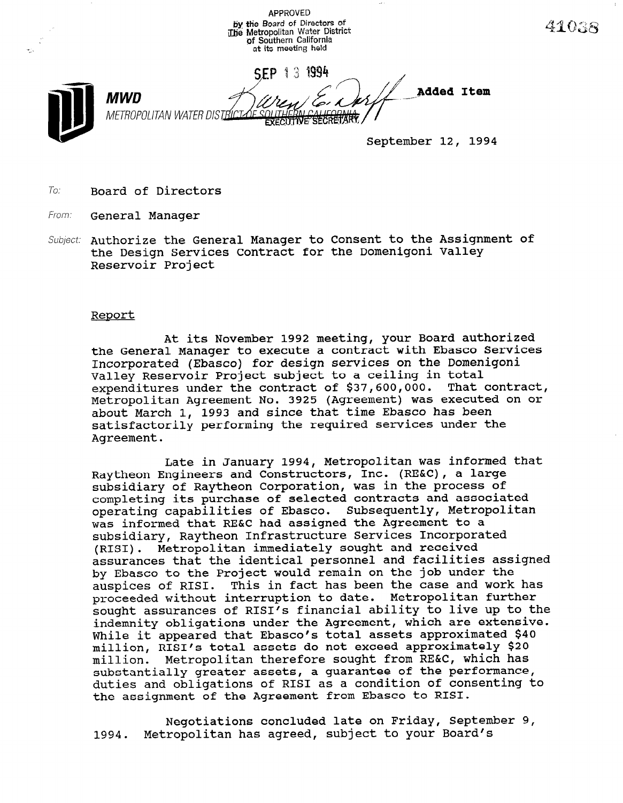APPROVED by the Board of Directors of ithe Metropolitan Water District pf Southern California at its meeting held



September 12, 1994

4103R

To: Board of Directors

From: **General Manager** 

Subject: Authorize the General Manager to Consent to the Assignment of the Design Services Contract for the Domenigoni Valley Reservoir Project

## Report

At its November 1992 meeting, your Board authorized the General Manager to execute a contract with Ebasco Services Incorporated (Ebasco) for design services on the Domenigoni Valley Reservoir Project subject to a ceiling in total Valley Reservoir Project subject to a ceiling in total<br>consmittives under the contract of \$37,600,000. That contra expenditures under the contract of \$37,600,000. That contract,<br>Metropolitan Agreement No. 3925 (Agreement) was executed on or Metropolitan Agreement No. 3923 (Agreement) was execute about march 1, 1993 and since that the reason has been<br>highly continued services under the required services under the satisfactorily performing the required services under the Agreement.

Late in January 1994, Metropolitan was informed that Engine in January 1994, Metropolitan was informed Raytheon Engineers and Constructors, Inc. (RE&C), a large subsidiary of Raytheon Corporation, was in the process or completing its purchase of selected contracts and associated operating capabilities of Ebasco. Subsequently, Metropolitan was informed that RE&C had assigned the Agreement to a subsidiary, Raytheon Infrastructure Services Incorporated (RISI). Metropolitan immediately sought and received assurances that the identical personnel and facilities assigned by Ebasco to the Project would remain on the job under the auspices of RISI. This in fact has been the case and work has proceeded without interruption to date. Metropolitan further sought assurances of RISI's financial ability to live up to the indemnity obligations under the Agreement, which are extensive. While it appeared that Ebasco's total assets approximated \$40 million. RISI's total assets do not exceed approximately \$20 million. Metropolitan therefore sought from RE&C, which has substantially greater assets, a quarantee of the performance, duties and obligations of RISI as a condition of consenting to<br>the assignment of the Agreement from Ebasco to RISI.

Negotiations concluded late on Friday, September 9, Metropolitan has agreed, subject to your Board's 1994.